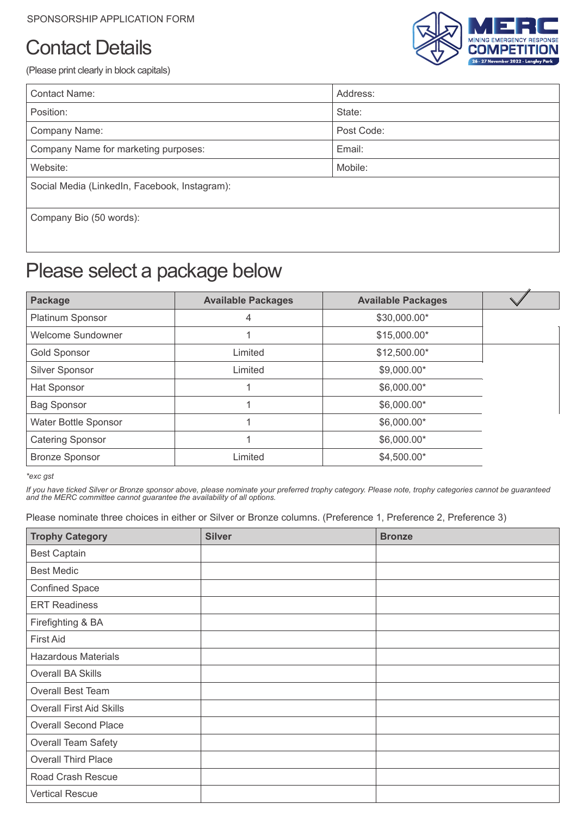# Contact Details



(Please print clearly in block capitals)

| <b>Contact Name:</b>                          | Address:   |  |
|-----------------------------------------------|------------|--|
| Position:                                     | State:     |  |
| Company Name:                                 | Post Code: |  |
| Company Name for marketing purposes:          | Email:     |  |
| Website:                                      | Mobile:    |  |
| Social Media (LinkedIn, Facebook, Instagram): |            |  |
| Company Bio (50 words):                       |            |  |
|                                               |            |  |

## Please select a package below

| Package                  | <b>Available Packages</b> | <b>Available Packages</b> |  |
|--------------------------|---------------------------|---------------------------|--|
| Platinum Sponsor         | 4                         | \$30,000.00*              |  |
| <b>Welcome Sundowner</b> |                           | \$15,000.00*              |  |
| <b>Gold Sponsor</b>      | Limited                   | \$12,500.00*              |  |
| Silver Sponsor           | Limited                   | \$9,000.00*               |  |
| Hat Sponsor              |                           | \$6,000.00*               |  |
| <b>Bag Sponsor</b>       |                           | \$6,000.00*               |  |
| Water Bottle Sponsor     |                           | \$6,000.00*               |  |
| <b>Catering Sponsor</b>  |                           | \$6,000.00*               |  |
| <b>Bronze Sponsor</b>    | Limited                   | \$4,500.00*               |  |

*\*exc gst*

*If you have ticked Silver or Bronze sponsor above, please nominate your preferred trophy category. Please note, trophy categories cannot be guaranteed and the MERC committee cannot guarantee the availability of all options.* 

Please nominate three choices in either or Silver or Bronze columns. (Preference 1, Preference 2, Preference 3)

| <b>Trophy Category</b>          | <b>Silver</b> | <b>Bronze</b> |
|---------------------------------|---------------|---------------|
| <b>Best Captain</b>             |               |               |
| <b>Best Medic</b>               |               |               |
| <b>Confined Space</b>           |               |               |
| <b>ERT Readiness</b>            |               |               |
| Firefighting & BA               |               |               |
| <b>First Aid</b>                |               |               |
| <b>Hazardous Materials</b>      |               |               |
| Overall BA Skills               |               |               |
| <b>Overall Best Team</b>        |               |               |
| <b>Overall First Aid Skills</b> |               |               |
| <b>Overall Second Place</b>     |               |               |
| <b>Overall Team Safety</b>      |               |               |
| <b>Overall Third Place</b>      |               |               |
| Road Crash Rescue               |               |               |
| <b>Vertical Rescue</b>          |               |               |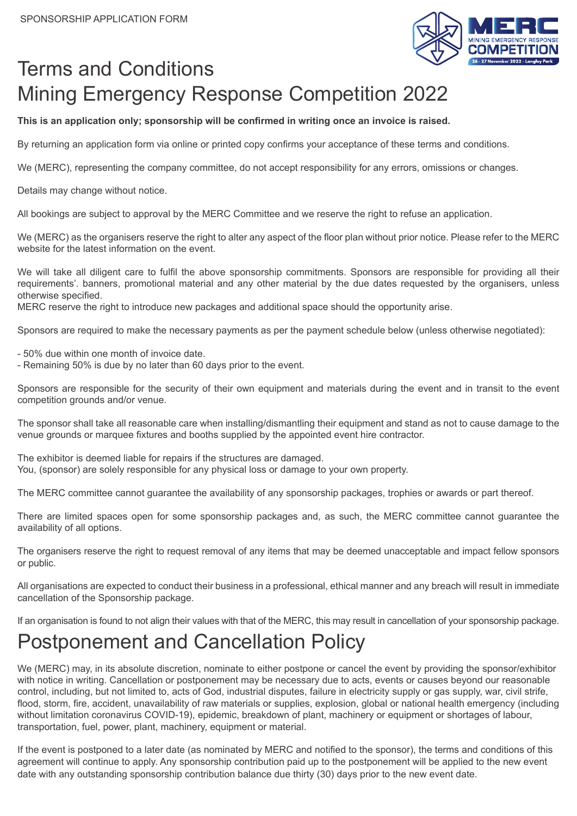

## Terms and Conditions Mining Emergency Response Competition 2022

**This is an application only; sponsorship will be confirmed in writing once an invoice is raised.**

By returning an application form via online or printed copy confirms your acceptance of these terms and conditions.

We (MERC), representing the company committee, do not accept responsibility for any errors, omissions or changes.

Details may change without notice.

All bookings are subject to approval by the MERC Committee and we reserve the right to refuse an application.

We (MERC) as the organisers reserve the right to alter any aspect of the floor plan without prior notice. Please refer to the MERC website for the latest information on the event.

We will take all diligent care to fulfil the above sponsorship commitments. Sponsors are responsible for providing all their requirements'. banners, promotional material and any other material by the due dates requested by the organisers, unless otherwise specified.

MERC reserve the right to introduce new packages and additional space should the opportunity arise.

Sponsors are required to make the necessary payments as per the payment schedule below (unless otherwise negotiated):

- 50% due within one month of invoice date.

- Remaining 50% is due by no later than 60 days prior to the event.

Sponsors are responsible for the security of their own equipment and materials during the event and in transit to the event competition grounds and/or venue.

The sponsor shall take all reasonable care when installing/dismantling their equipment and stand as not to cause damage to the venue grounds or marquee fixtures and booths supplied by the appointed event hire contractor.

The exhibitor is deemed liable for repairs if the structures are damaged. You, (sponsor) are solely responsible for any physical loss or damage to your own property.

The MERC committee cannot guarantee the availability of any sponsorship packages, trophies or awards or part thereof.

There are limited spaces open for some sponsorship packages and, as such, the MERC committee cannot guarantee the availability of all options.

The organisers reserve the right to request removal of any items that may be deemed unacceptable and impact fellow sponsors or public.

All organisations are expected to conduct their business in a professional, ethical manner and any breach will result in immediate cancellation of the Sponsorship package.

If an organisation is found to not align their values with that of the MERC, this may result in cancellation of your sponsorship package.

#### Postponement and Cancellation Policy

We (MERC) may, in its absolute discretion, nominate to either postpone or cancel the event by providing the sponsor/exhibitor with notice in writing. Cancellation or postponement may be necessary due to acts, events or causes beyond our reasonable control, including, but not limited to, acts of God, industrial disputes, failure in electricity supply or gas supply, war, civil strife, flood, storm, fire, accident, unavailability of raw materials or supplies, explosion, global or national health emergency (including without limitation coronavirus COVID-19), epidemic, breakdown of plant, machinery or equipment or shortages of labour, transportation, fuel, power, plant, machinery, equipment or material.

If the event is postponed to a later date (as nominated by MERC and notified to the sponsor), the terms and conditions of this agreement will continue to apply. Any sponsorship contribution paid up to the postponement will be applied to the new event date with any outstanding sponsorship contribution balance due thirty (30) days prior to the new event date.